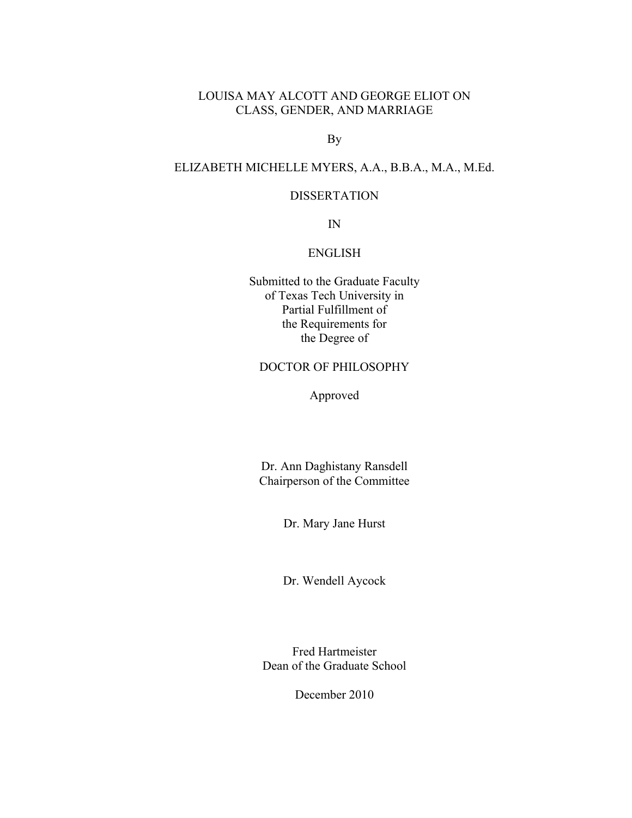## LOUISA MAY ALCOTT AND GEORGE ELIOT ON CLASS, GENDER, AND MARRIAGE

By

## ELIZABETH MICHELLE MYERS, A.A., B.B.A., M.A., M.Ed.

## DISSERTATION

IN

### ENGLISH

Submitted to the Graduate Faculty of Texas Tech University in Partial Fulfillment of the Requirements for the Degree of

## DOCTOR OF PHILOSOPHY

Approved

Dr. Ann Daghistany Ransdell Chairperson of the Committee

Dr. Mary Jane Hurst

Dr. Wendell Aycock

Fred Hartmeister Dean of the Graduate School

December 2010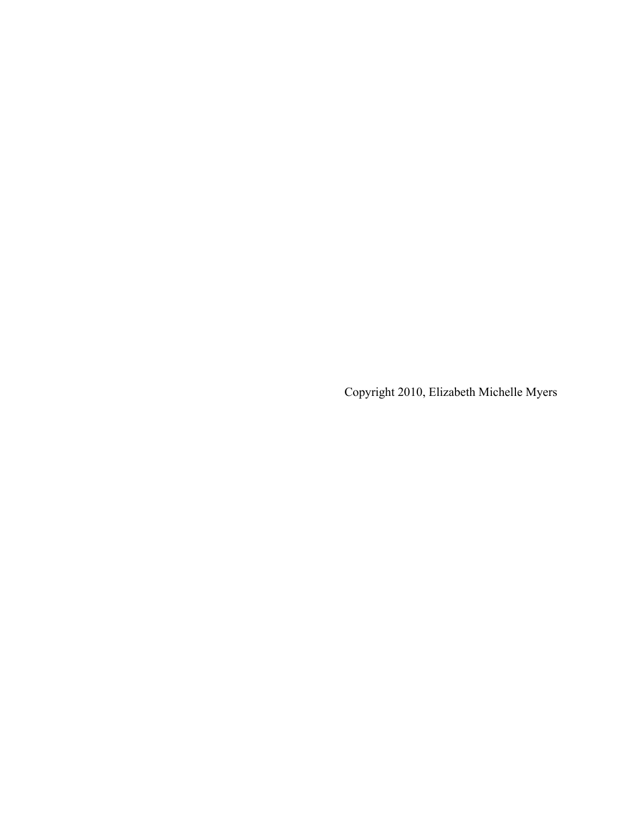Copyright 2010, Elizabeth Michelle Myers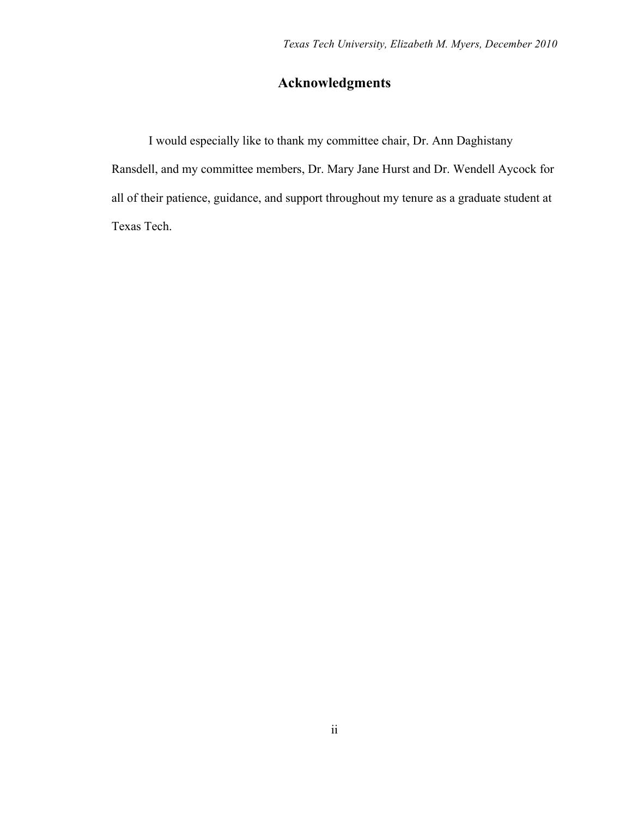## **Acknowledgments**

I would especially like to thank my committee chair, Dr. Ann Daghistany Ransdell, and my committee members, Dr. Mary Jane Hurst and Dr. Wendell Aycock for all of their patience, guidance, and support throughout my tenure as a graduate student at Texas Tech.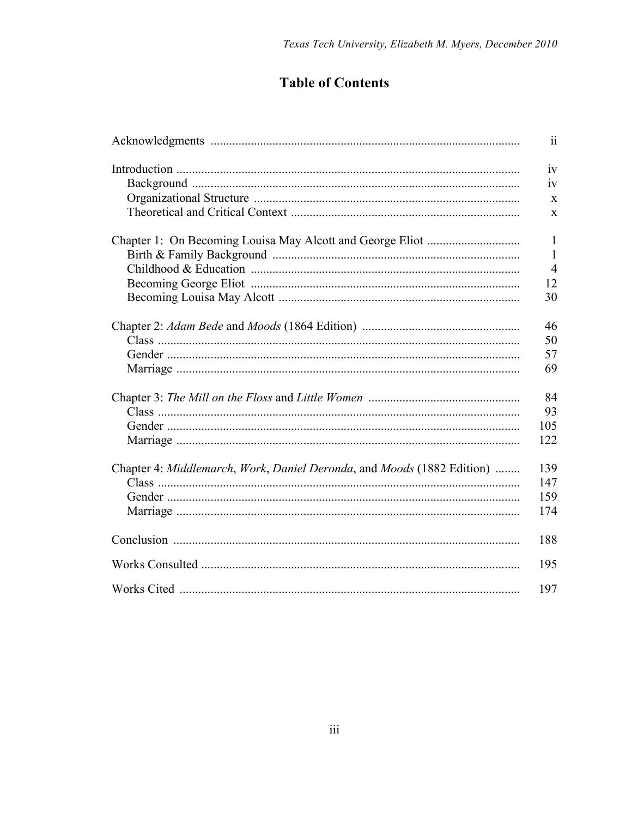# **Table of Contents**

|                                                                        | 11             |
|------------------------------------------------------------------------|----------------|
|                                                                        | iv             |
|                                                                        | 1V             |
|                                                                        | X              |
|                                                                        | X              |
|                                                                        | $\mathbf{1}$   |
|                                                                        | $\mathbf{1}$   |
|                                                                        | $\overline{4}$ |
|                                                                        | 12             |
|                                                                        | 30             |
|                                                                        | 46             |
|                                                                        | 50             |
|                                                                        | 57             |
|                                                                        | 69             |
|                                                                        | 84             |
|                                                                        | 93             |
|                                                                        | 105            |
|                                                                        | 122            |
| Chapter 4: Middlemarch, Work, Daniel Deronda, and Moods (1882 Edition) | 139            |
|                                                                        | 147            |
|                                                                        | 159            |
|                                                                        | 174            |
|                                                                        | 188            |
|                                                                        | 195            |
|                                                                        | 197            |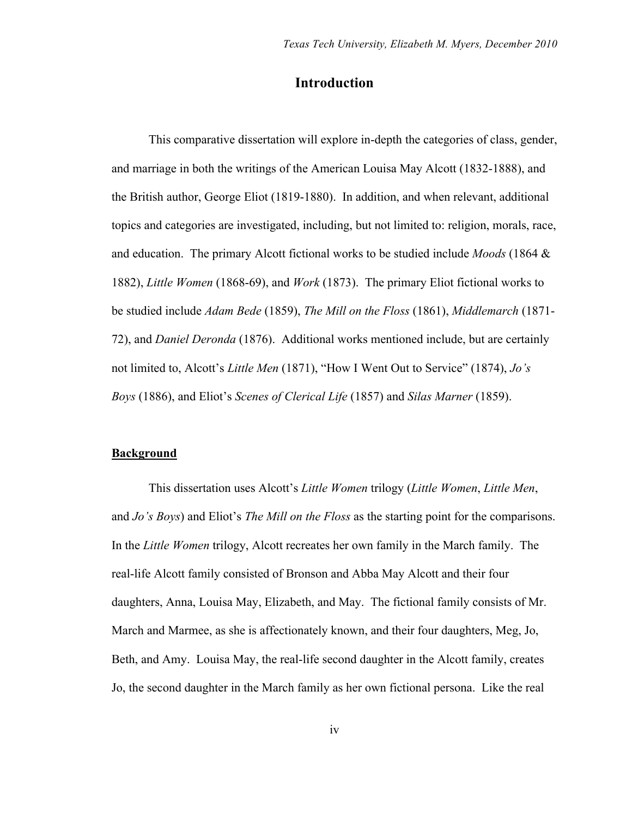## **Introduction**

This comparative dissertation will explore in-depth the categories of class, gender, and marriage in both the writings of the American Louisa May Alcott (1832-1888), and the British author, George Eliot (1819-1880). In addition, and when relevant, additional topics and categories are investigated, including, but not limited to: religion, morals, race, and education. The primary Alcott fictional works to be studied include *Moods* (1864 & 1882), *Little Women* (1868-69), and *Work* (1873). The primary Eliot fictional works to be studied include *Adam Bede* (1859), *The Mill on the Floss* (1861), *Middlemarch* (1871- 72), and *Daniel Deronda* (1876). Additional works mentioned include, but are certainly not limited to, Alcott's *Little Men* (1871), "How I Went Out to Service" (1874), *Jo's Boys* (1886), and Eliot's *Scenes of Clerical Life* (1857) and *Silas Marner* (1859).

### **Background**

This dissertation uses Alcott's *Little Women* trilogy (*Little Women*, *Little Men*, and *Jo's Boys*) and Eliot's *The Mill on the Floss* as the starting point for the comparisons. In the *Little Women* trilogy, Alcott recreates her own family in the March family. The real-life Alcott family consisted of Bronson and Abba May Alcott and their four daughters, Anna, Louisa May, Elizabeth, and May. The fictional family consists of Mr. March and Marmee, as she is affectionately known, and their four daughters, Meg, Jo, Beth, and Amy. Louisa May, the real-life second daughter in the Alcott family, creates Jo, the second daughter in the March family as her own fictional persona. Like the real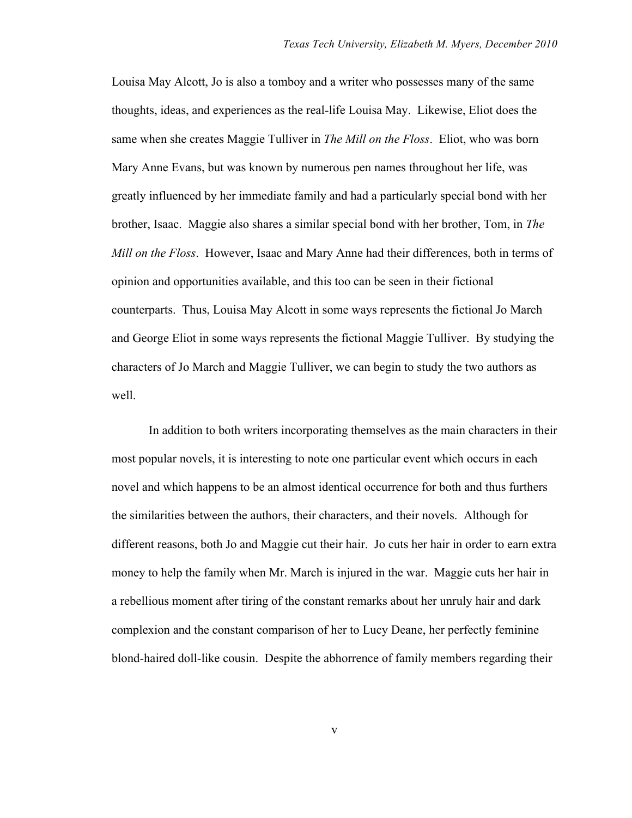Louisa May Alcott, Jo is also a tomboy and a writer who possesses many of the same thoughts, ideas, and experiences as the real-life Louisa May. Likewise, Eliot does the same when she creates Maggie Tulliver in *The Mill on the Floss*. Eliot, who was born Mary Anne Evans, but was known by numerous pen names throughout her life, was greatly influenced by her immediate family and had a particularly special bond with her brother, Isaac. Maggie also shares a similar special bond with her brother, Tom, in *The Mill on the Floss*. However, Isaac and Mary Anne had their differences, both in terms of opinion and opportunities available, and this too can be seen in their fictional counterparts. Thus, Louisa May Alcott in some ways represents the fictional Jo March and George Eliot in some ways represents the fictional Maggie Tulliver. By studying the characters of Jo March and Maggie Tulliver, we can begin to study the two authors as well.

In addition to both writers incorporating themselves as the main characters in their most popular novels, it is interesting to note one particular event which occurs in each novel and which happens to be an almost identical occurrence for both and thus furthers the similarities between the authors, their characters, and their novels. Although for different reasons, both Jo and Maggie cut their hair. Jo cuts her hair in order to earn extra money to help the family when Mr. March is injured in the war. Maggie cuts her hair in a rebellious moment after tiring of the constant remarks about her unruly hair and dark complexion and the constant comparison of her to Lucy Deane, her perfectly feminine blond-haired doll-like cousin. Despite the abhorrence of family members regarding their

v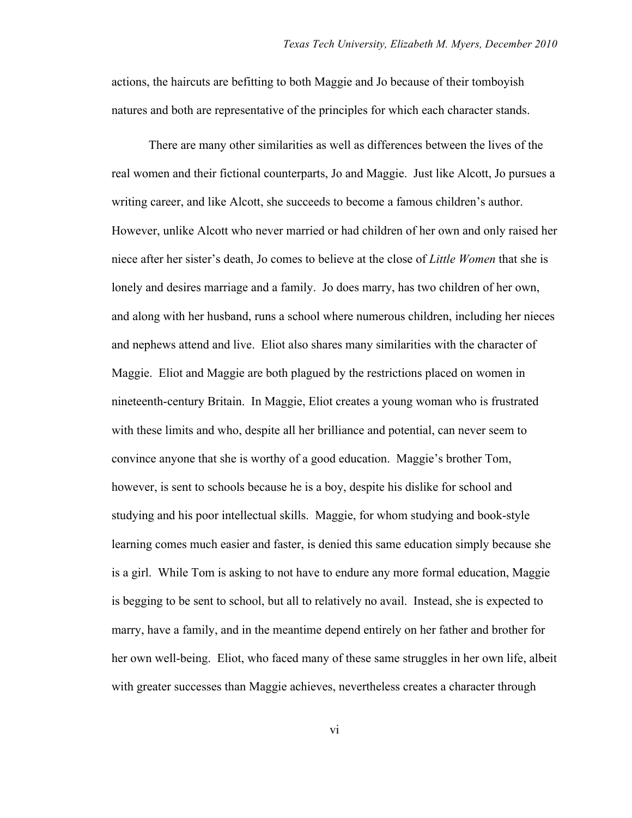actions, the haircuts are befitting to both Maggie and Jo because of their tomboyish natures and both are representative of the principles for which each character stands.

There are many other similarities as well as differences between the lives of the real women and their fictional counterparts, Jo and Maggie. Just like Alcott, Jo pursues a writing career, and like Alcott, she succeeds to become a famous children's author. However, unlike Alcott who never married or had children of her own and only raised her niece after her sister's death, Jo comes to believe at the close of *Little Women* that she is lonely and desires marriage and a family. Jo does marry, has two children of her own, and along with her husband, runs a school where numerous children, including her nieces and nephews attend and live. Eliot also shares many similarities with the character of Maggie. Eliot and Maggie are both plagued by the restrictions placed on women in nineteenth-century Britain. In Maggie, Eliot creates a young woman who is frustrated with these limits and who, despite all her brilliance and potential, can never seem to convince anyone that she is worthy of a good education. Maggie's brother Tom, however, is sent to schools because he is a boy, despite his dislike for school and studying and his poor intellectual skills. Maggie, for whom studying and book-style learning comes much easier and faster, is denied this same education simply because she is a girl. While Tom is asking to not have to endure any more formal education, Maggie is begging to be sent to school, but all to relatively no avail. Instead, she is expected to marry, have a family, and in the meantime depend entirely on her father and brother for her own well-being. Eliot, who faced many of these same struggles in her own life, albeit with greater successes than Maggie achieves, nevertheless creates a character through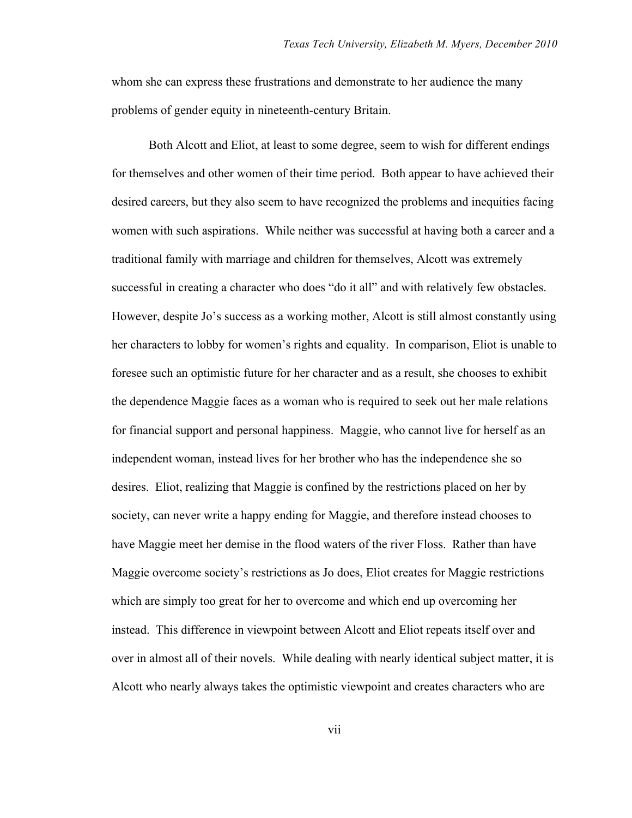whom she can express these frustrations and demonstrate to her audience the many problems of gender equity in nineteenth-century Britain.

Both Alcott and Eliot, at least to some degree, seem to wish for different endings for themselves and other women of their time period. Both appear to have achieved their desired careers, but they also seem to have recognized the problems and inequities facing women with such aspirations. While neither was successful at having both a career and a traditional family with marriage and children for themselves, Alcott was extremely successful in creating a character who does "do it all" and with relatively few obstacles. However, despite Jo's success as a working mother, Alcott is still almost constantly using her characters to lobby for women's rights and equality. In comparison, Eliot is unable to foresee such an optimistic future for her character and as a result, she chooses to exhibit the dependence Maggie faces as a woman who is required to seek out her male relations for financial support and personal happiness. Maggie, who cannot live for herself as an independent woman, instead lives for her brother who has the independence she so desires. Eliot, realizing that Maggie is confined by the restrictions placed on her by society, can never write a happy ending for Maggie, and therefore instead chooses to have Maggie meet her demise in the flood waters of the river Floss. Rather than have Maggie overcome society's restrictions as Jo does, Eliot creates for Maggie restrictions which are simply too great for her to overcome and which end up overcoming her instead. This difference in viewpoint between Alcott and Eliot repeats itself over and over in almost all of their novels. While dealing with nearly identical subject matter, it is Alcott who nearly always takes the optimistic viewpoint and creates characters who are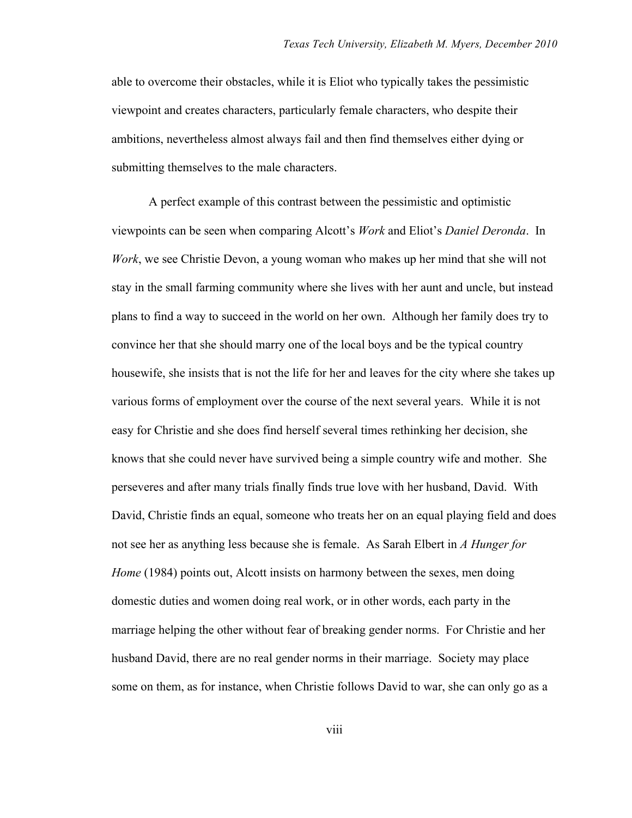able to overcome their obstacles, while it is Eliot who typically takes the pessimistic viewpoint and creates characters, particularly female characters, who despite their ambitions, nevertheless almost always fail and then find themselves either dying or submitting themselves to the male characters.

A perfect example of this contrast between the pessimistic and optimistic viewpoints can be seen when comparing Alcott's *Work* and Eliot's *Daniel Deronda*. In *Work*, we see Christie Devon, a young woman who makes up her mind that she will not stay in the small farming community where she lives with her aunt and uncle, but instead plans to find a way to succeed in the world on her own. Although her family does try to convince her that she should marry one of the local boys and be the typical country housewife, she insists that is not the life for her and leaves for the city where she takes up various forms of employment over the course of the next several years. While it is not easy for Christie and she does find herself several times rethinking her decision, she knows that she could never have survived being a simple country wife and mother. She perseveres and after many trials finally finds true love with her husband, David. With David, Christie finds an equal, someone who treats her on an equal playing field and does not see her as anything less because she is female. As Sarah Elbert in *A Hunger for Home* (1984) points out, Alcott insists on harmony between the sexes, men doing domestic duties and women doing real work, or in other words, each party in the marriage helping the other without fear of breaking gender norms. For Christie and her husband David, there are no real gender norms in their marriage. Society may place some on them, as for instance, when Christie follows David to war, she can only go as a

viii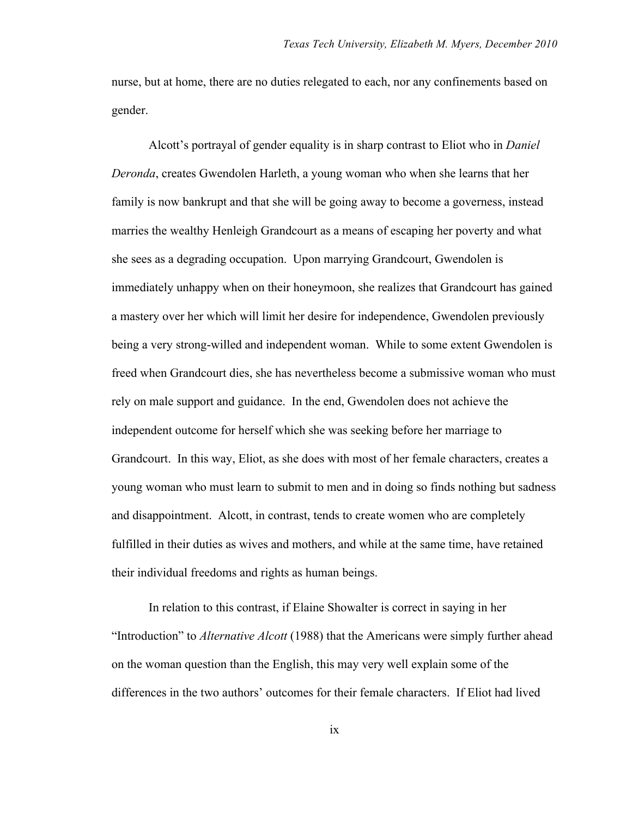nurse, but at home, there are no duties relegated to each, nor any confinements based on gender.

Alcott's portrayal of gender equality is in sharp contrast to Eliot who in *Daniel Deronda*, creates Gwendolen Harleth, a young woman who when she learns that her family is now bankrupt and that she will be going away to become a governess, instead marries the wealthy Henleigh Grandcourt as a means of escaping her poverty and what she sees as a degrading occupation. Upon marrying Grandcourt, Gwendolen is immediately unhappy when on their honeymoon, she realizes that Grandcourt has gained a mastery over her which will limit her desire for independence, Gwendolen previously being a very strong-willed and independent woman. While to some extent Gwendolen is freed when Grandcourt dies, she has nevertheless become a submissive woman who must rely on male support and guidance. In the end, Gwendolen does not achieve the independent outcome for herself which she was seeking before her marriage to Grandcourt. In this way, Eliot, as she does with most of her female characters, creates a young woman who must learn to submit to men and in doing so finds nothing but sadness and disappointment. Alcott, in contrast, tends to create women who are completely fulfilled in their duties as wives and mothers, and while at the same time, have retained their individual freedoms and rights as human beings.

In relation to this contrast, if Elaine Showalter is correct in saying in her "Introduction" to *Alternative Alcott* (1988) that the Americans were simply further ahead on the woman question than the English, this may very well explain some of the differences in the two authors' outcomes for their female characters. If Eliot had lived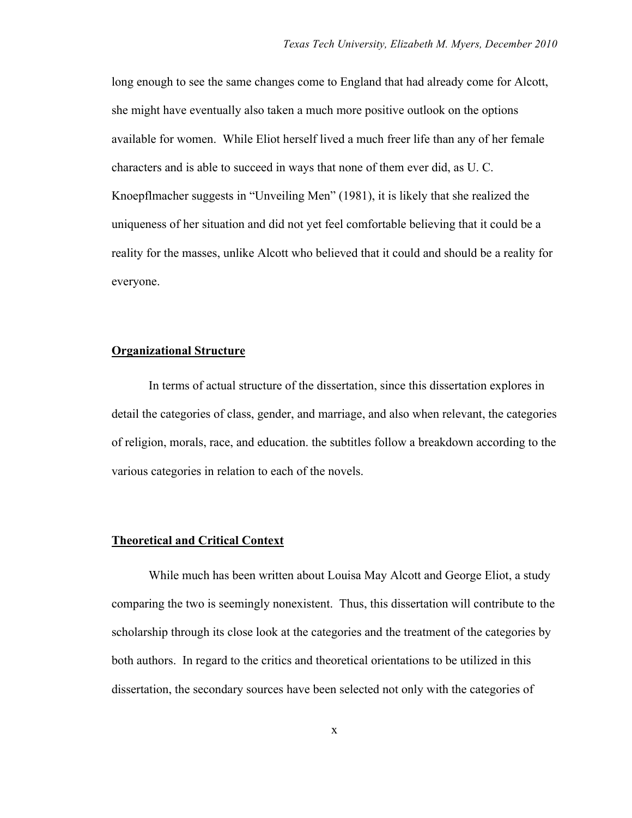long enough to see the same changes come to England that had already come for Alcott, she might have eventually also taken a much more positive outlook on the options available for women. While Eliot herself lived a much freer life than any of her female characters and is able to succeed in ways that none of them ever did, as U. C. Knoepflmacher suggests in "Unveiling Men" (1981), it is likely that she realized the uniqueness of her situation and did not yet feel comfortable believing that it could be a reality for the masses, unlike Alcott who believed that it could and should be a reality for everyone.

#### **Organizational Structure**

In terms of actual structure of the dissertation, since this dissertation explores in detail the categories of class, gender, and marriage, and also when relevant, the categories of religion, morals, race, and education. the subtitles follow a breakdown according to the various categories in relation to each of the novels.

### **Theoretical and Critical Context**

While much has been written about Louisa May Alcott and George Eliot, a study comparing the two is seemingly nonexistent. Thus, this dissertation will contribute to the scholarship through its close look at the categories and the treatment of the categories by both authors. In regard to the critics and theoretical orientations to be utilized in this dissertation, the secondary sources have been selected not only with the categories of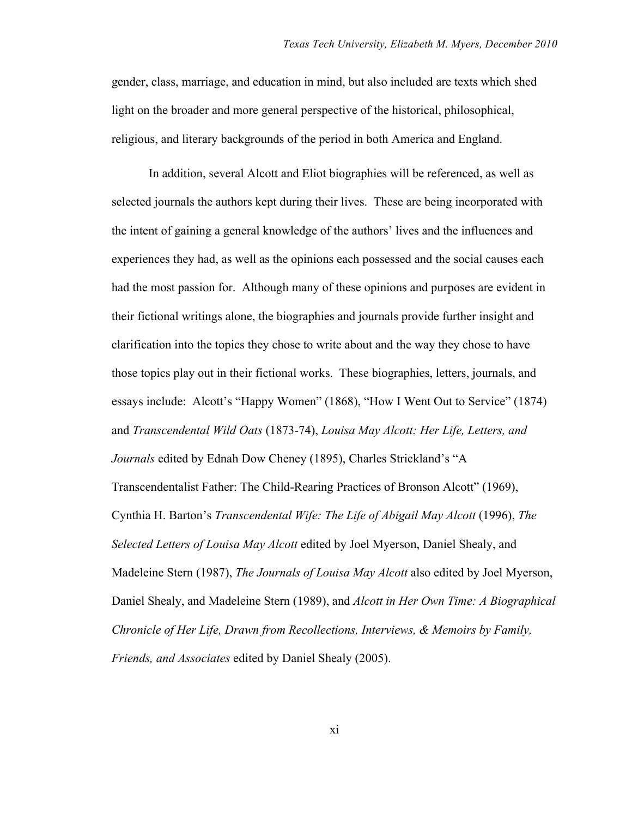gender, class, marriage, and education in mind, but also included are texts which shed light on the broader and more general perspective of the historical, philosophical, religious, and literary backgrounds of the period in both America and England.

In addition, several Alcott and Eliot biographies will be referenced, as well as selected journals the authors kept during their lives. These are being incorporated with the intent of gaining a general knowledge of the authors' lives and the influences and experiences they had, as well as the opinions each possessed and the social causes each had the most passion for. Although many of these opinions and purposes are evident in their fictional writings alone, the biographies and journals provide further insight and clarification into the topics they chose to write about and the way they chose to have those topics play out in their fictional works. These biographies, letters, journals, and essays include: Alcott's "Happy Women" (1868), "How I Went Out to Service" (1874) and *Transcendental Wild Oats* (1873-74), *Louisa May Alcott: Her Life, Letters, and Journals* edited by Ednah Dow Cheney (1895), Charles Strickland's "A Transcendentalist Father: The Child-Rearing Practices of Bronson Alcott" (1969), Cynthia H. Barton's *Transcendental Wife: The Life of Abigail May Alcott* (1996), *The Selected Letters of Louisa May Alcott* edited by Joel Myerson, Daniel Shealy, and Madeleine Stern (1987), *The Journals of Louisa May Alcott* also edited by Joel Myerson, Daniel Shealy, and Madeleine Stern (1989), and *Alcott in Her Own Time: A Biographical Chronicle of Her Life, Drawn from Recollections, Interviews, & Memoirs by Family, Friends, and Associates* edited by Daniel Shealy (2005).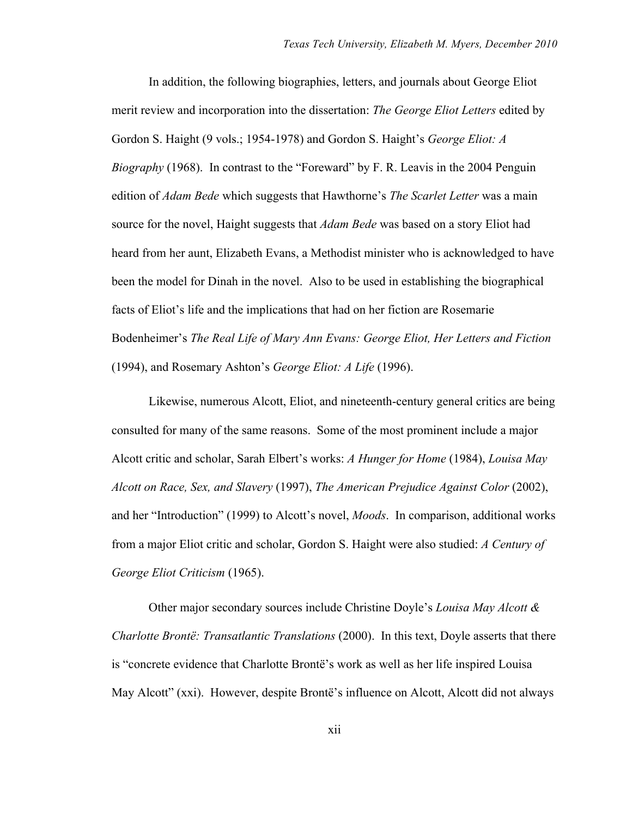In addition, the following biographies, letters, and journals about George Eliot merit review and incorporation into the dissertation: *The George Eliot Letters* edited by Gordon S. Haight (9 vols.; 1954-1978) and Gordon S. Haight's *George Eliot: A Biography* (1968). In contrast to the "Foreward" by F. R. Leavis in the 2004 Penguin edition of *Adam Bede* which suggests that Hawthorne's *The Scarlet Letter* was a main source for the novel, Haight suggests that *Adam Bede* was based on a story Eliot had heard from her aunt, Elizabeth Evans, a Methodist minister who is acknowledged to have been the model for Dinah in the novel. Also to be used in establishing the biographical facts of Eliot's life and the implications that had on her fiction are Rosemarie Bodenheimer's *The Real Life of Mary Ann Evans: George Eliot, Her Letters and Fiction*  (1994), and Rosemary Ashton's *George Eliot: A Life* (1996).

Likewise, numerous Alcott, Eliot, and nineteenth-century general critics are being consulted for many of the same reasons. Some of the most prominent include a major Alcott critic and scholar, Sarah Elbert's works: *A Hunger for Home* (1984), *Louisa May Alcott on Race, Sex, and Slavery* (1997), *The American Prejudice Against Color* (2002), and her "Introduction" (1999) to Alcott's novel, *Moods*. In comparison, additional works from a major Eliot critic and scholar, Gordon S. Haight were also studied: *A Century of George Eliot Criticism* (1965).

Other major secondary sources include Christine Doyle's *Louisa May Alcott & Charlotte Brontë: Transatlantic Translations* (2000). In this text, Doyle asserts that there is "concrete evidence that Charlotte Brontë's work as well as her life inspired Louisa May Alcott" (xxi). However, despite Brontë's influence on Alcott, Alcott did not always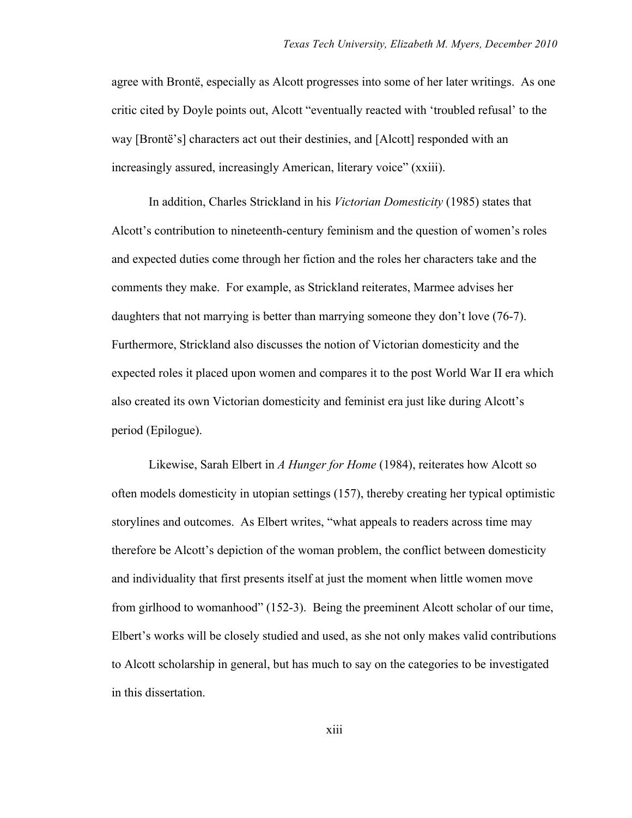agree with Brontë, especially as Alcott progresses into some of her later writings. As one critic cited by Doyle points out, Alcott "eventually reacted with 'troubled refusal' to the way [Brontë's] characters act out their destinies, and [Alcott] responded with an increasingly assured, increasingly American, literary voice" (xxiii).

In addition, Charles Strickland in his *Victorian Domesticity* (1985) states that Alcott's contribution to nineteenth-century feminism and the question of women's roles and expected duties come through her fiction and the roles her characters take and the comments they make. For example, as Strickland reiterates, Marmee advises her daughters that not marrying is better than marrying someone they don't love (76-7). Furthermore, Strickland also discusses the notion of Victorian domesticity and the expected roles it placed upon women and compares it to the post World War II era which also created its own Victorian domesticity and feminist era just like during Alcott's period (Epilogue).

Likewise, Sarah Elbert in *A Hunger for Home* (1984), reiterates how Alcott so often models domesticity in utopian settings (157), thereby creating her typical optimistic storylines and outcomes. As Elbert writes, "what appeals to readers across time may therefore be Alcott's depiction of the woman problem, the conflict between domesticity and individuality that first presents itself at just the moment when little women move from girlhood to womanhood" (152-3). Being the preeminent Alcott scholar of our time, Elbert's works will be closely studied and used, as she not only makes valid contributions to Alcott scholarship in general, but has much to say on the categories to be investigated in this dissertation.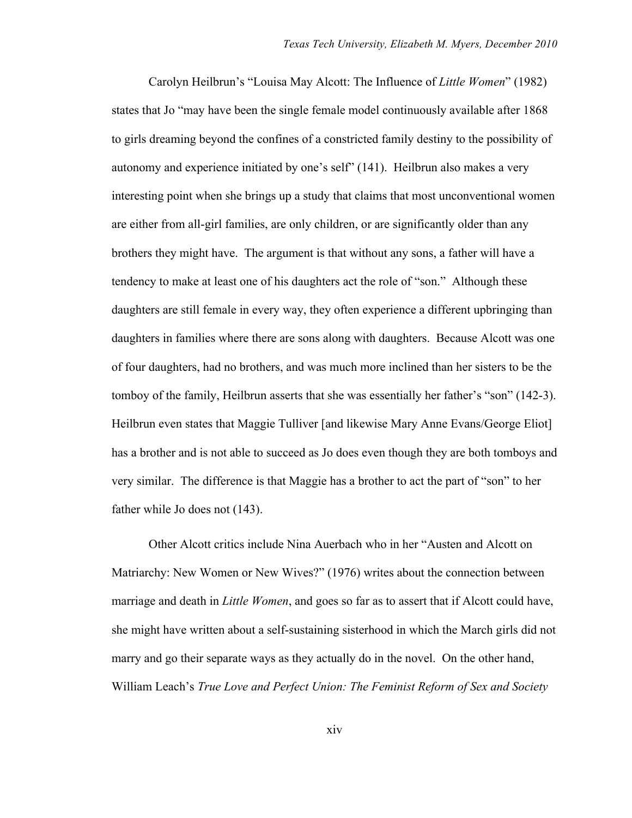Carolyn Heilbrun's "Louisa May Alcott: The Influence of *Little Women*" (1982) states that Jo "may have been the single female model continuously available after 1868 to girls dreaming beyond the confines of a constricted family destiny to the possibility of autonomy and experience initiated by one's self" (141). Heilbrun also makes a very interesting point when she brings up a study that claims that most unconventional women are either from all-girl families, are only children, or are significantly older than any brothers they might have. The argument is that without any sons, a father will have a tendency to make at least one of his daughters act the role of "son." Although these daughters are still female in every way, they often experience a different upbringing than daughters in families where there are sons along with daughters. Because Alcott was one of four daughters, had no brothers, and was much more inclined than her sisters to be the tomboy of the family, Heilbrun asserts that she was essentially her father's "son" (142-3). Heilbrun even states that Maggie Tulliver [and likewise Mary Anne Evans/George Eliot] has a brother and is not able to succeed as Jo does even though they are both tomboys and very similar. The difference is that Maggie has a brother to act the part of "son" to her father while Jo does not (143).

Other Alcott critics include Nina Auerbach who in her "Austen and Alcott on Matriarchy: New Women or New Wives?" (1976) writes about the connection between marriage and death in *Little Women*, and goes so far as to assert that if Alcott could have, she might have written about a self-sustaining sisterhood in which the March girls did not marry and go their separate ways as they actually do in the novel. On the other hand, William Leach's *True Love and Perfect Union: The Feminist Reform of Sex and Society*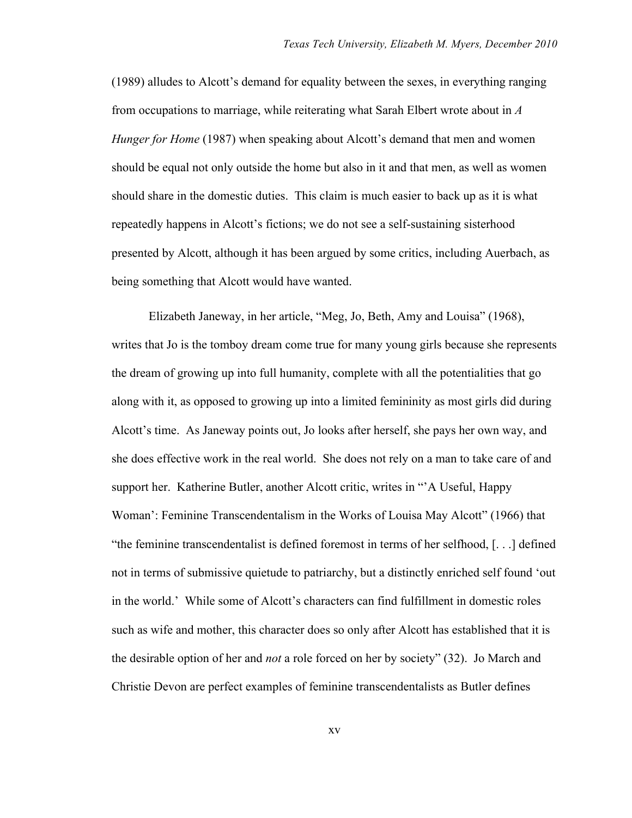(1989) alludes to Alcott's demand for equality between the sexes, in everything ranging from occupations to marriage, while reiterating what Sarah Elbert wrote about in *A Hunger for Home* (1987) when speaking about Alcott's demand that men and women should be equal not only outside the home but also in it and that men, as well as women should share in the domestic duties. This claim is much easier to back up as it is what repeatedly happens in Alcott's fictions; we do not see a self-sustaining sisterhood presented by Alcott, although it has been argued by some critics, including Auerbach, as being something that Alcott would have wanted.

Elizabeth Janeway, in her article, "Meg, Jo, Beth, Amy and Louisa" (1968), writes that Jo is the tomboy dream come true for many young girls because she represents the dream of growing up into full humanity, complete with all the potentialities that go along with it, as opposed to growing up into a limited femininity as most girls did during Alcott's time. As Janeway points out, Jo looks after herself, she pays her own way, and she does effective work in the real world. She does not rely on a man to take care of and support her. Katherine Butler, another Alcott critic, writes in "'A Useful, Happy Woman': Feminine Transcendentalism in the Works of Louisa May Alcott" (1966) that "the feminine transcendentalist is defined foremost in terms of her selfhood, [. . .] defined not in terms of submissive quietude to patriarchy, but a distinctly enriched self found 'out in the world.' While some of Alcott's characters can find fulfillment in domestic roles such as wife and mother, this character does so only after Alcott has established that it is the desirable option of her and *not* a role forced on her by society" (32). Jo March and Christie Devon are perfect examples of feminine transcendentalists as Butler defines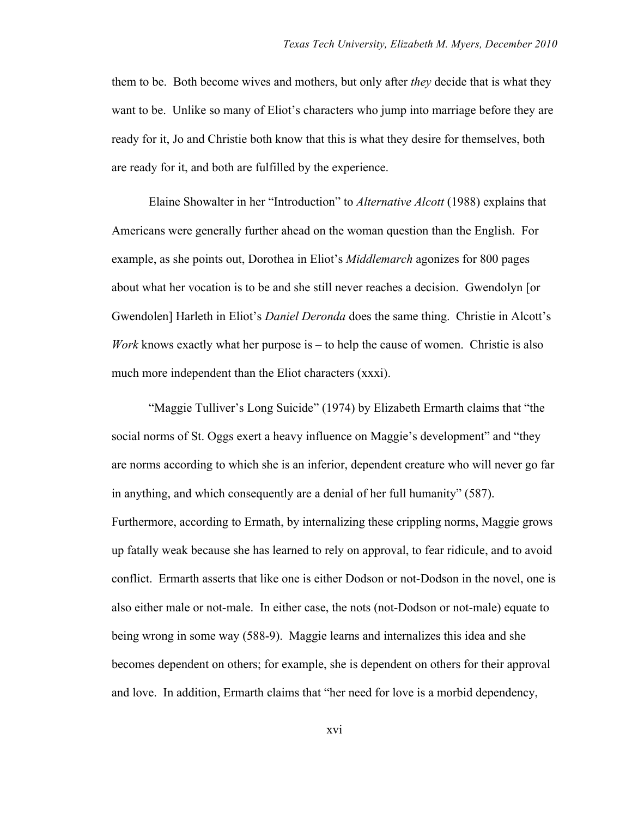them to be. Both become wives and mothers, but only after *they* decide that is what they want to be. Unlike so many of Eliot's characters who jump into marriage before they are ready for it, Jo and Christie both know that this is what they desire for themselves, both are ready for it, and both are fulfilled by the experience.

Elaine Showalter in her "Introduction" to *Alternative Alcott* (1988) explains that Americans were generally further ahead on the woman question than the English. For example, as she points out, Dorothea in Eliot's *Middlemarch* agonizes for 800 pages about what her vocation is to be and she still never reaches a decision. Gwendolyn [or Gwendolen] Harleth in Eliot's *Daniel Deronda* does the same thing. Christie in Alcott's *Work* knows exactly what her purpose is – to help the cause of women. Christie is also much more independent than the Eliot characters (xxxi).

"Maggie Tulliver's Long Suicide" (1974) by Elizabeth Ermarth claims that "the social norms of St. Oggs exert a heavy influence on Maggie's development" and "they are norms according to which she is an inferior, dependent creature who will never go far in anything, and which consequently are a denial of her full humanity" (587). Furthermore, according to Ermath, by internalizing these crippling norms, Maggie grows up fatally weak because she has learned to rely on approval, to fear ridicule, and to avoid conflict. Ermarth asserts that like one is either Dodson or not-Dodson in the novel, one is also either male or not-male. In either case, the nots (not-Dodson or not-male) equate to being wrong in some way (588-9). Maggie learns and internalizes this idea and she becomes dependent on others; for example, she is dependent on others for their approval and love. In addition, Ermarth claims that "her need for love is a morbid dependency,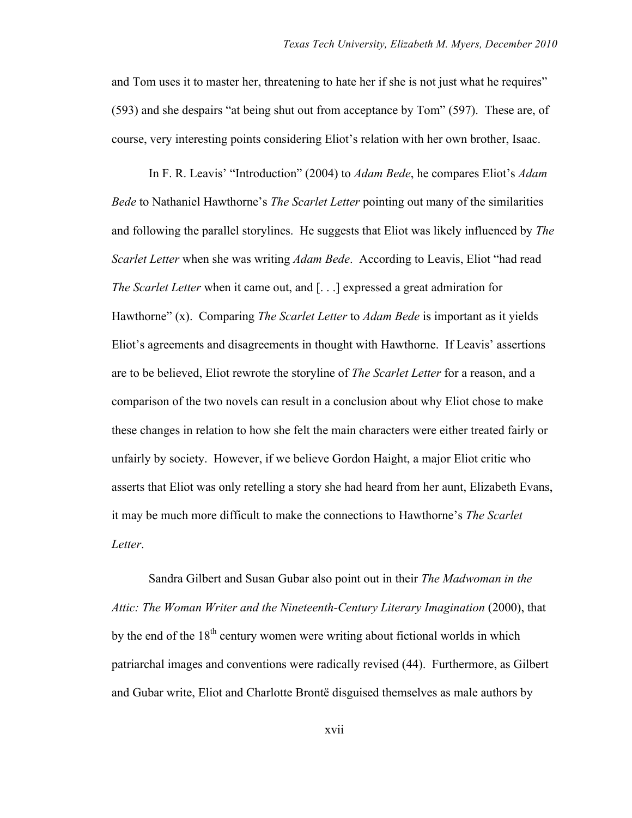and Tom uses it to master her, threatening to hate her if she is not just what he requires" (593) and she despairs "at being shut out from acceptance by Tom" (597). These are, of course, very interesting points considering Eliot's relation with her own brother, Isaac.

In F. R. Leavis' "Introduction" (2004) to *Adam Bede*, he compares Eliot's *Adam Bede* to Nathaniel Hawthorne's *The Scarlet Letter* pointing out many of the similarities and following the parallel storylines. He suggests that Eliot was likely influenced by *The Scarlet Letter* when she was writing *Adam Bede*. According to Leavis, Eliot "had read *The Scarlet Letter* when it came out, and [. . .] expressed a great admiration for Hawthorne" (x). Comparing *The Scarlet Letter* to *Adam Bede* is important as it yields Eliot's agreements and disagreements in thought with Hawthorne. If Leavis' assertions are to be believed, Eliot rewrote the storyline of *The Scarlet Letter* for a reason, and a comparison of the two novels can result in a conclusion about why Eliot chose to make these changes in relation to how she felt the main characters were either treated fairly or unfairly by society. However, if we believe Gordon Haight, a major Eliot critic who asserts that Eliot was only retelling a story she had heard from her aunt, Elizabeth Evans, it may be much more difficult to make the connections to Hawthorne's *The Scarlet Letter*.

Sandra Gilbert and Susan Gubar also point out in their *The Madwoman in the Attic: The Woman Writer and the Nineteenth-Century Literary Imagination* (2000), that by the end of the  $18<sup>th</sup>$  century women were writing about fictional worlds in which patriarchal images and conventions were radically revised (44). Furthermore, as Gilbert and Gubar write, Eliot and Charlotte Brontë disguised themselves as male authors by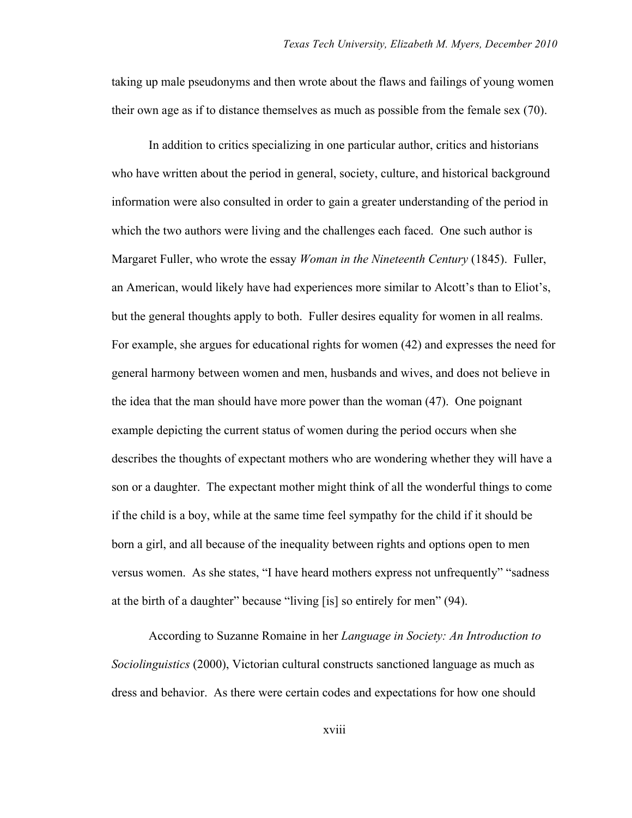taking up male pseudonyms and then wrote about the flaws and failings of young women their own age as if to distance themselves as much as possible from the female sex (70).

In addition to critics specializing in one particular author, critics and historians who have written about the period in general, society, culture, and historical background information were also consulted in order to gain a greater understanding of the period in which the two authors were living and the challenges each faced. One such author is Margaret Fuller, who wrote the essay *Woman in the Nineteenth Century* (1845). Fuller, an American, would likely have had experiences more similar to Alcott's than to Eliot's, but the general thoughts apply to both. Fuller desires equality for women in all realms. For example, she argues for educational rights for women (42) and expresses the need for general harmony between women and men, husbands and wives, and does not believe in the idea that the man should have more power than the woman (47). One poignant example depicting the current status of women during the period occurs when she describes the thoughts of expectant mothers who are wondering whether they will have a son or a daughter. The expectant mother might think of all the wonderful things to come if the child is a boy, while at the same time feel sympathy for the child if it should be born a girl, and all because of the inequality between rights and options open to men versus women. As she states, "I have heard mothers express not unfrequently" "sadness at the birth of a daughter" because "living [is] so entirely for men" (94).

According to Suzanne Romaine in her *Language in Society: An Introduction to Sociolinguistics* (2000), Victorian cultural constructs sanctioned language as much as dress and behavior. As there were certain codes and expectations for how one should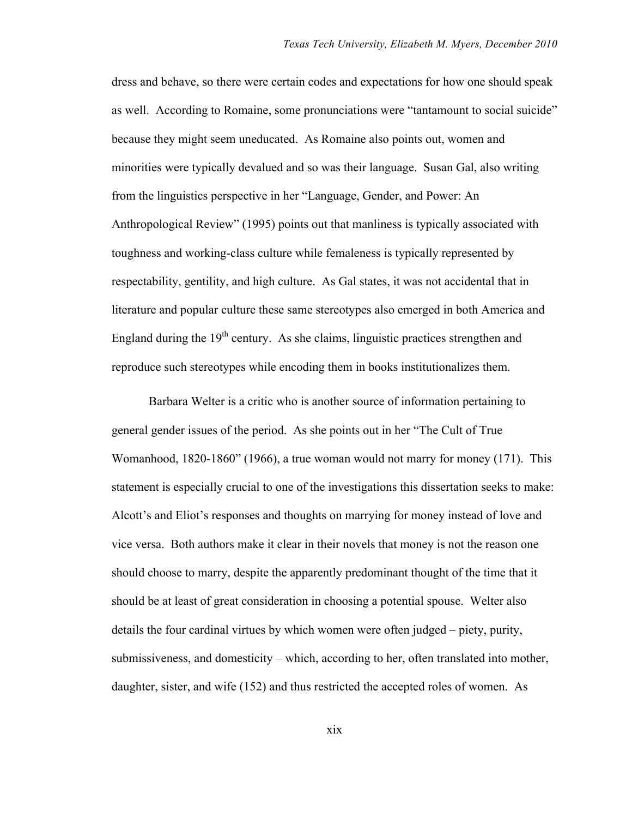dress and behave, so there were certain codes and expectations for how one should speak as well. According to Romaine, some pronunciations were "tantamount to social suicide" because they might seem uneducated. As Romaine also points out, women and minorities were typically devalued and so was their language. Susan Gal, also writing from the linguistics perspective in her "Language, Gender, and Power: An Anthropological Review" (1995) points out that manliness is typically associated with toughness and working-class culture while femaleness is typically represented by respectability, gentility, and high culture. As Gal states, it was not accidental that in literature and popular culture these same stereotypes also emerged in both America and England during the  $19<sup>th</sup>$  century. As she claims, linguistic practices strengthen and reproduce such stereotypes while encoding them in books institutionalizes them.

Barbara Welter is a critic who is another source of information pertaining to general gender issues of the period. As she points out in her "The Cult of True Womanhood, 1820-1860" (1966), a true woman would not marry for money (171). This statement is especially crucial to one of the investigations this dissertation seeks to make: Alcott's and Eliot's responses and thoughts on marrying for money instead of love and vice versa. Both authors make it clear in their novels that money is not the reason one should choose to marry, despite the apparently predominant thought of the time that it should be at least of great consideration in choosing a potential spouse. Welter also details the four cardinal virtues by which women were often judged – piety, purity, submissiveness, and domesticity – which, according to her, often translated into mother, daughter, sister, and wife (152) and thus restricted the accepted roles of women. As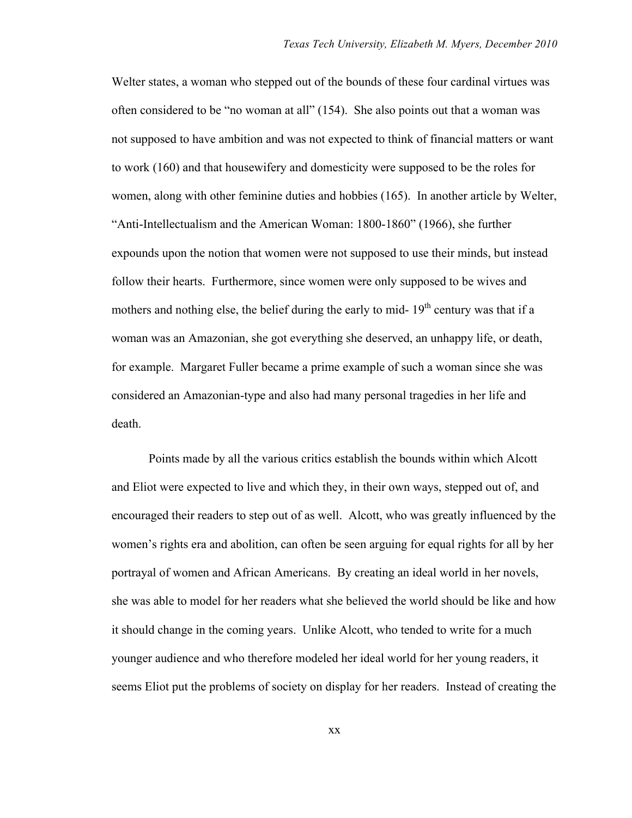Welter states, a woman who stepped out of the bounds of these four cardinal virtues was often considered to be "no woman at all" (154). She also points out that a woman was not supposed to have ambition and was not expected to think of financial matters or want to work (160) and that housewifery and domesticity were supposed to be the roles for women, along with other feminine duties and hobbies (165). In another article by Welter, "Anti-Intellectualism and the American Woman: 1800-1860" (1966), she further expounds upon the notion that women were not supposed to use their minds, but instead follow their hearts. Furthermore, since women were only supposed to be wives and mothers and nothing else, the belief during the early to mid-  $19<sup>th</sup>$  century was that if a woman was an Amazonian, she got everything she deserved, an unhappy life, or death, for example. Margaret Fuller became a prime example of such a woman since she was considered an Amazonian-type and also had many personal tragedies in her life and death.

Points made by all the various critics establish the bounds within which Alcott and Eliot were expected to live and which they, in their own ways, stepped out of, and encouraged their readers to step out of as well. Alcott, who was greatly influenced by the women's rights era and abolition, can often be seen arguing for equal rights for all by her portrayal of women and African Americans. By creating an ideal world in her novels, she was able to model for her readers what she believed the world should be like and how it should change in the coming years. Unlike Alcott, who tended to write for a much younger audience and who therefore modeled her ideal world for her young readers, it seems Eliot put the problems of society on display for her readers. Instead of creating the

xx